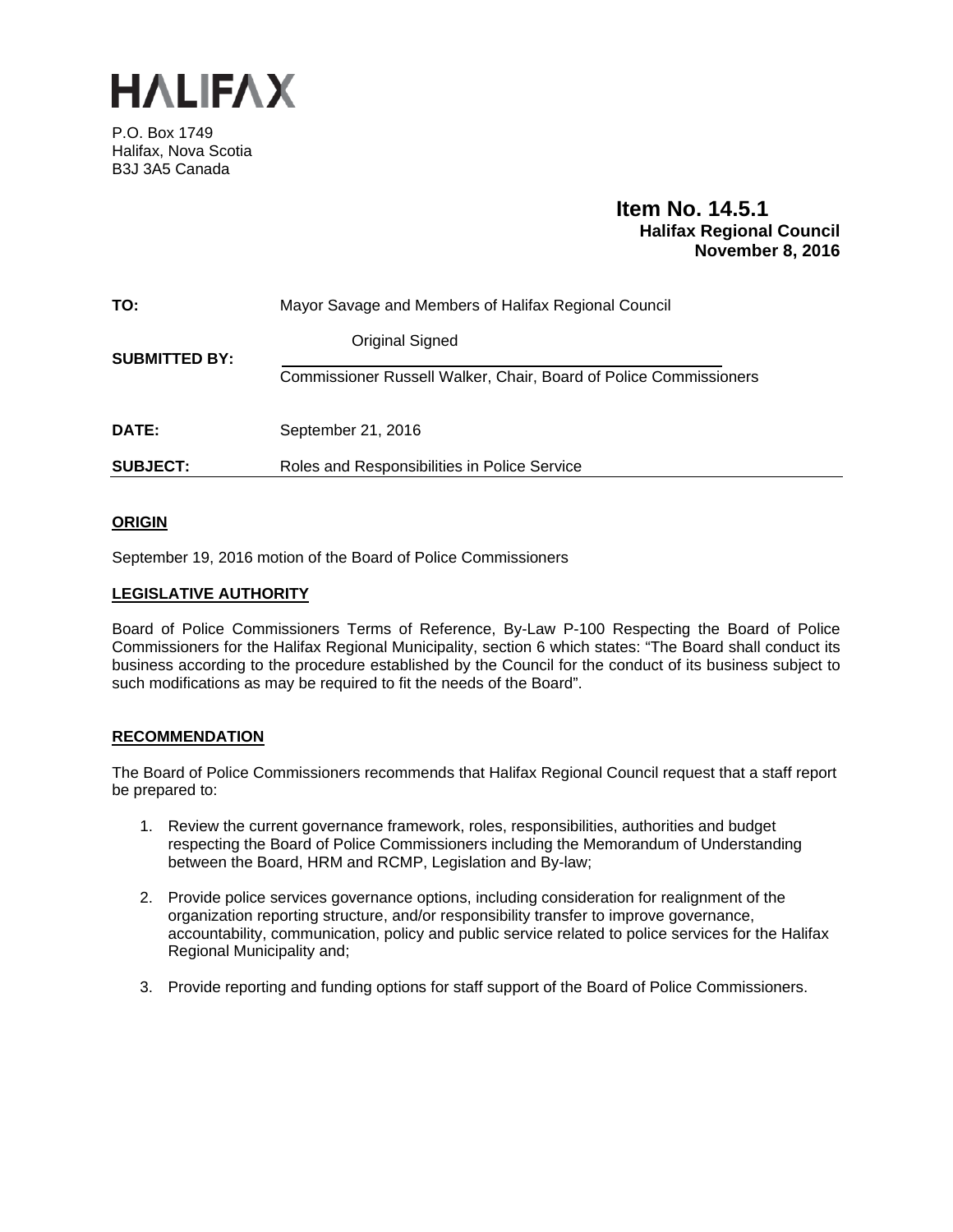

P.O. Box 1749 Halifax, Nova Scotia B3J 3A5 Canada

# **Item No. 14.5.1 Halifax Regional Council November 8, 2016**

| TO:                  | Mayor Savage and Members of Halifax Regional Council                     |
|----------------------|--------------------------------------------------------------------------|
| <b>SUBMITTED BY:</b> | <b>Original Signed</b>                                                   |
|                      | <b>Commissioner Russell Walker, Chair, Board of Police Commissioners</b> |
| <b>DATE:</b>         | September 21, 2016                                                       |
| <b>SUBJECT:</b>      | Roles and Responsibilities in Police Service                             |

# **ORIGIN**

September 19, 2016 motion of the Board of Police Commissioners

## **LEGISLATIVE AUTHORITY**

Board of Police Commissioners Terms of Reference, By-Law P-100 Respecting the Board of Police Commissioners for the Halifax Regional Municipality, section 6 which states: "The Board shall conduct its business according to the procedure established by the Council for the conduct of its business subject to such modifications as may be required to fit the needs of the Board".

## **RECOMMENDATION**

The Board of Police Commissioners recommends that Halifax Regional Council request that a staff report be prepared to:

- 1. Review the current governance framework, roles, responsibilities, authorities and budget respecting the Board of Police Commissioners including the Memorandum of Understanding between the Board, HRM and RCMP, Legislation and By-law;
- 2. Provide police services governance options, including consideration for realignment of the organization reporting structure, and/or responsibility transfer to improve governance, accountability, communication, policy and public service related to police services for the Halifax Regional Municipality and;
- 3. Provide reporting and funding options for staff support of the Board of Police Commissioners.